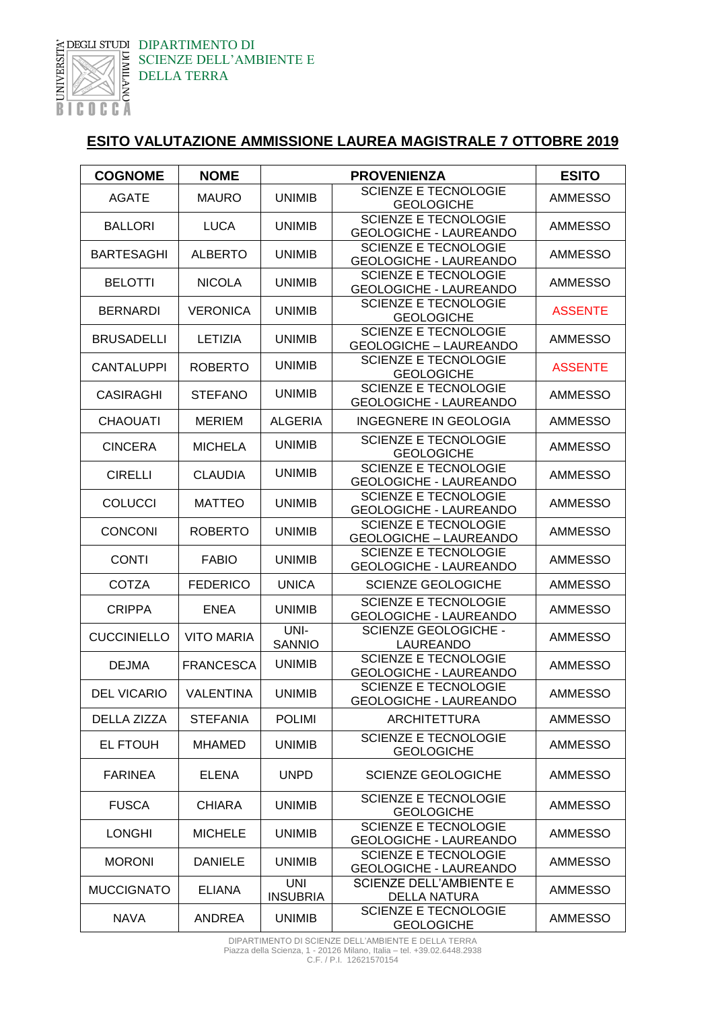

DIPARTIMENTO DI SCIENZE DELL'AMBIENTE E DELLA TERRA

## **ESITO VALUTAZIONE AMMISSIONE LAUREA MAGISTRALE 7 OTTOBRE 2019**

| <b>COGNOME</b>     | <b>NOME</b>       | <b>PROVENIENZA</b>     |                                                              | <b>ESITO</b>   |
|--------------------|-------------------|------------------------|--------------------------------------------------------------|----------------|
| <b>AGATE</b>       | <b>MAURO</b>      | <b>UNIMIB</b>          | <b>SCIENZE E TECNOLOGIE</b><br><b>GEOLOGICHE</b>             | AMMESSO        |
| <b>BALLORI</b>     | <b>LUCA</b>       | <b>UNIMIB</b>          | <b>SCIENZE E TECNOLOGIE</b><br><b>GEOLOGICHE - LAUREANDO</b> | <b>AMMESSO</b> |
| <b>BARTESAGHI</b>  | <b>ALBERTO</b>    | <b>UNIMIB</b>          | <b>SCIENZE E TECNOLOGIE</b><br><b>GEOLOGICHE - LAUREANDO</b> | AMMESSO        |
| <b>BELOTTI</b>     | <b>NICOLA</b>     | <b>UNIMIB</b>          | <b>SCIENZE E TECNOLOGIE</b><br>GEOLOGICHE - LAUREANDO        | AMMESSO        |
| <b>BERNARDI</b>    | <b>VERONICA</b>   | <b>UNIMIB</b>          | <b>SCIENZE E TECNOLOGIE</b><br><b>GEOLOGICHE</b>             | <b>ASSENTE</b> |
| <b>BRUSADELLI</b>  | LETIZIA           | <b>UNIMIB</b>          | <b>SCIENZE E TECNOLOGIE</b><br><b>GEOLOGICHE - LAUREANDO</b> | <b>AMMESSO</b> |
| <b>CANTALUPPI</b>  | <b>ROBERTO</b>    | <b>UNIMIB</b>          | <b>SCIENZE E TECNOLOGIE</b><br><b>GEOLOGICHE</b>             | <b>ASSENTE</b> |
| <b>CASIRAGHI</b>   | <b>STEFANO</b>    | <b>UNIMIB</b>          | <b>SCIENZE E TECNOLOGIE</b><br><b>GEOLOGICHE - LAUREANDO</b> | <b>AMMESSO</b> |
| <b>CHAOUATI</b>    | <b>MERIEM</b>     | <b>ALGERIA</b>         | <b>INGEGNERE IN GEOLOGIA</b>                                 | AMMESSO        |
| <b>CINCERA</b>     | <b>MICHELA</b>    | <b>UNIMIB</b>          | <b>SCIENZE E TECNOLOGIE</b><br><b>GEOLOGICHE</b>             | <b>AMMESSO</b> |
| <b>CIRELLI</b>     | <b>CLAUDIA</b>    | <b>UNIMIB</b>          | <b>SCIENZE E TECNOLOGIE</b><br><b>GEOLOGICHE - LAUREANDO</b> | <b>AMMESSO</b> |
| <b>COLUCCI</b>     | <b>MATTEO</b>     | <b>UNIMIB</b>          | <b>SCIENZE E TECNOLOGIE</b><br><b>GEOLOGICHE - LAUREANDO</b> | <b>AMMESSO</b> |
| <b>CONCONI</b>     | <b>ROBERTO</b>    | <b>UNIMIB</b>          | <b>SCIENZE E TECNOLOGIE</b><br><b>GEOLOGICHE - LAUREANDO</b> | <b>AMMESSO</b> |
| <b>CONTI</b>       | <b>FABIO</b>      | <b>UNIMIB</b>          | <b>SCIENZE E TECNOLOGIE</b><br><b>GEOLOGICHE - LAUREANDO</b> | <b>AMMESSO</b> |
| <b>COTZA</b>       | <b>FEDERICO</b>   | <b>UNICA</b>           | <b>SCIENZE GEOLOGICHE</b>                                    | AMMESSO        |
| <b>CRIPPA</b>      | <b>ENEA</b>       | <b>UNIMIB</b>          | <b>SCIENZE E TECNOLOGIE</b><br>GEOLOGICHE - LAUREANDO        | AMMESSO        |
| <b>CUCCINIELLO</b> | <b>VITO MARIA</b> | UNI-<br><b>SANNIO</b>  | <b>SCIENZE GEOLOGICHE -</b><br>LAUREANDO                     | AMMESSO        |
| <b>DEJMA</b>       | <b>FRANCESCA</b>  | <b>UNIMIB</b>          | <b>SCIENZE E TECNOLOGIE</b><br><b>GEOLOGICHE - LAUREANDO</b> | <b>AMMESSO</b> |
| <b>DEL VICARIO</b> | <b>VALENTINA</b>  | <b>UNIMIB</b>          | <b>SCIENZE E TECNOLOGIE</b><br><b>GEOLOGICHE - LAUREANDO</b> | AMMESSO        |
| DELLA ZIZZA        | <b>STEFANIA</b>   | <b>POLIMI</b>          | <b>ARCHITETTURA</b>                                          | <b>AMMESSO</b> |
| <b>EL FTOUH</b>    | <b>MHAMED</b>     | <b>UNIMIB</b>          | <b>SCIENZE E TECNOLOGIE</b><br><b>GEOLOGICHE</b>             | AMMESSO        |
| <b>FARINEA</b>     | <b>ELENA</b>      | <b>UNPD</b>            | <b>SCIENZE GEOLOGICHE</b>                                    | <b>AMMESSO</b> |
| <b>FUSCA</b>       | <b>CHIARA</b>     | <b>UNIMIB</b>          | <b>SCIENZE E TECNOLOGIE</b><br><b>GEOLOGICHE</b>             | AMMESSO        |
| <b>LONGHI</b>      | <b>MICHELE</b>    | <b>UNIMIB</b>          | <b>SCIENZE E TECNOLOGIE</b><br><b>GEOLOGICHE - LAUREANDO</b> | <b>AMMESSO</b> |
| <b>MORONI</b>      | <b>DANIELE</b>    | <b>UNIMIB</b>          | <b>SCIENZE E TECNOLOGIE</b><br><b>GEOLOGICHE - LAUREANDO</b> | <b>AMMESSO</b> |
| <b>MUCCIGNATO</b>  | <b>ELIANA</b>     | UNI<br><b>INSUBRIA</b> | SCIENZE DELL'AMBIENTE E<br><b>DELLA NATURA</b>               | AMMESSO        |
| <b>NAVA</b>        | <b>ANDREA</b>     | <b>UNIMIB</b>          | <b>SCIENZE E TECNOLOGIE</b><br><b>GEOLOGICHE</b>             | AMMESSO        |

DIPARTIMENTO DI SCIENZE DELL'AMBIENTE E DELLA TERRA Piazza della Scienza, 1 - 20126 Milano, Italia – tel. +39.02.6448.2938 C.F. / P.I. 12621570154